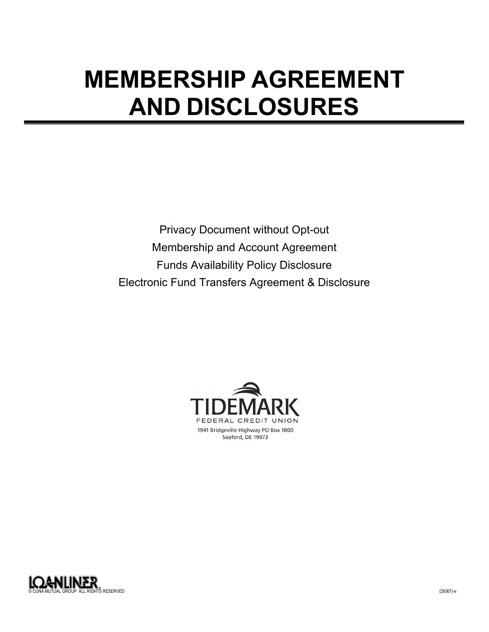# **MEMBERSHIP AGREEMENT AND DISCLOSURES**

Privacy Document without Opt-out Membership and Account Agreement Funds Availability Policy Disclosure Electronic Fund Transfers Agreement & Disclosure



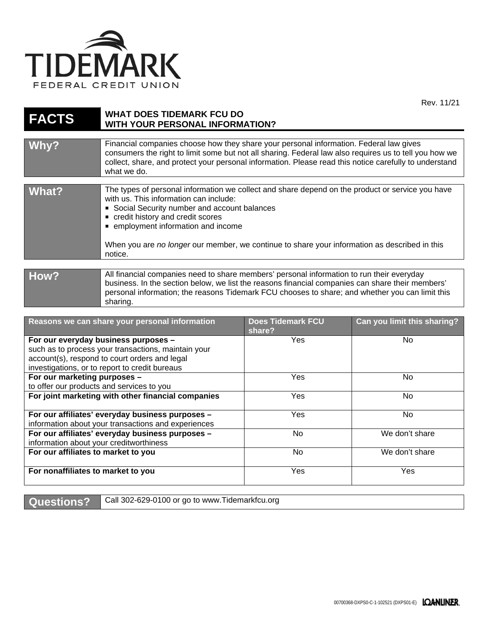

| <b>FACTS</b>                                                                                                                                                                                   | <b>WHAT DOES TIDEMARK FCU DO</b><br><b>WITH YOUR PERSONAL INFORMATION?</b>                                                                                                                                                                                                                                                                                                     |                                    |                             |
|------------------------------------------------------------------------------------------------------------------------------------------------------------------------------------------------|--------------------------------------------------------------------------------------------------------------------------------------------------------------------------------------------------------------------------------------------------------------------------------------------------------------------------------------------------------------------------------|------------------------------------|-----------------------------|
| Why?                                                                                                                                                                                           | Financial companies choose how they share your personal information. Federal law gives<br>consumers the right to limit some but not all sharing. Federal law also requires us to tell you how we<br>collect, share, and protect your personal information. Please read this notice carefully to understand<br>what we do.                                                      |                                    |                             |
| <b>What?</b>                                                                                                                                                                                   | The types of personal information we collect and share depend on the product or service you have<br>with us. This information can include:<br>Social Security number and account balances<br>credit history and credit scores<br>employment information and income<br>When you are no longer our member, we continue to share your information as described in this<br>notice. |                                    |                             |
| How?                                                                                                                                                                                           | All financial companies need to share members' personal information to run their everyday<br>business. In the section below, we list the reasons financial companies can share their members'<br>personal information; the reasons Tidemark FCU chooses to share; and whether you can limit this<br>sharing.                                                                   |                                    |                             |
|                                                                                                                                                                                                | Reasons we can share your personal information                                                                                                                                                                                                                                                                                                                                 | <b>Does Tidemark FCU</b><br>share? | Can you limit this sharing? |
| For our everyday business purposes -<br>such as to process your transactions, maintain your<br>account(s), respond to court orders and legal<br>investigations, or to report to credit bureaus |                                                                                                                                                                                                                                                                                                                                                                                | Yes                                | <b>No</b>                   |
| For our marketing purposes -<br>to offer our products and services to you                                                                                                                      |                                                                                                                                                                                                                                                                                                                                                                                | Yes                                | <b>No</b>                   |
| For joint marketing with other financial companies                                                                                                                                             |                                                                                                                                                                                                                                                                                                                                                                                | Yes                                | <b>No</b>                   |
| For our affiliates' everyday business purposes -<br>information about your transactions and experiences                                                                                        |                                                                                                                                                                                                                                                                                                                                                                                | Yes                                | <b>No</b>                   |
| For our affiliates' everyday business purposes -<br>information about your creditworthiness                                                                                                    |                                                                                                                                                                                                                                                                                                                                                                                | <b>No</b>                          | We don't share              |
| For our affiliates to market to you                                                                                                                                                            |                                                                                                                                                                                                                                                                                                                                                                                | No                                 | We don't share              |
| For nonaffiliates to market to you                                                                                                                                                             |                                                                                                                                                                                                                                                                                                                                                                                | Yes                                | Yes                         |

Questions? Call 302-629-0100 or go to www.Tidemarkfcu.org

Rev. 11/21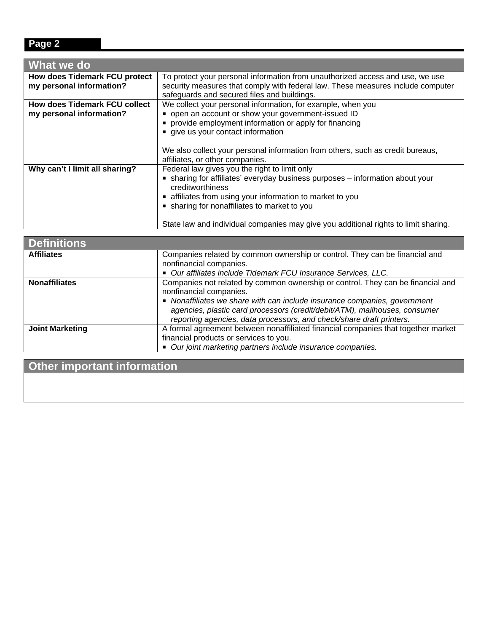## **Page 2**

| What we do                                                       |                                                                                                                                                                                                                                                                                                                                                    |
|------------------------------------------------------------------|----------------------------------------------------------------------------------------------------------------------------------------------------------------------------------------------------------------------------------------------------------------------------------------------------------------------------------------------------|
| <b>How does Tidemark FCU protect</b><br>my personal information? | To protect your personal information from unauthorized access and use, we use<br>security measures that comply with federal law. These measures include computer<br>safeguards and secured files and buildings.                                                                                                                                    |
| <b>How does Tidemark FCU collect</b><br>my personal information? | We collect your personal information, for example, when you<br>• open an account or show your government-issued ID<br>provide employment information or apply for financing<br>give us your contact information                                                                                                                                    |
|                                                                  | We also collect your personal information from others, such as credit bureaus,<br>affiliates, or other companies.                                                                                                                                                                                                                                  |
| Why can't I limit all sharing?                                   | Federal law gives you the right to limit only<br>sharing for affiliates' everyday business purposes - information about your<br>creditworthiness<br>affiliates from using your information to market to you<br>• sharing for nonaffiliates to market to you<br>State law and individual companies may give you additional rights to limit sharing. |

| <b>Definitions</b>     |                                                                                                                                                                                                                                                                                                                                               |
|------------------------|-----------------------------------------------------------------------------------------------------------------------------------------------------------------------------------------------------------------------------------------------------------------------------------------------------------------------------------------------|
| <b>Affiliates</b>      | Companies related by common ownership or control. They can be financial and<br>nonfinancial companies.<br>■ Our affiliates include Tidemark FCU Insurance Services, LLC.                                                                                                                                                                      |
| <b>Nonaffiliates</b>   | Companies not related by common ownership or control. They can be financial and<br>nonfinancial companies.<br>• Nonaffiliates we share with can include insurance companies, government<br>agencies, plastic card processors (credit/debit/ATM), mailhouses, consumer<br>reporting agencies, data processors, and check/share draft printers. |
| <b>Joint Marketing</b> | A formal agreement between nonaffiliated financial companies that together market<br>financial products or services to you.<br>• Our joint marketing partners include insurance companies.                                                                                                                                                    |

**Other important information**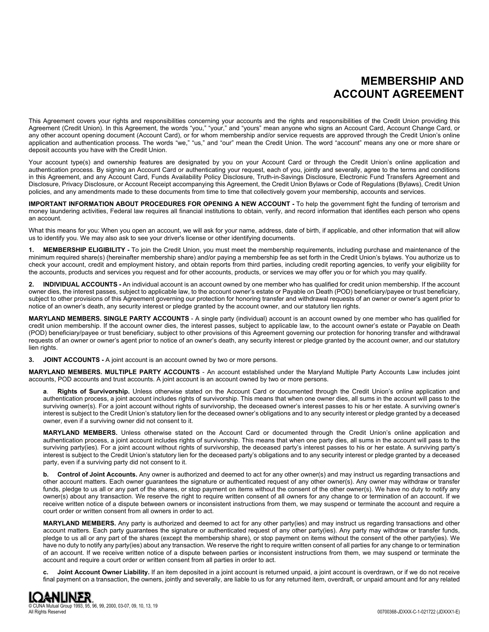## **MEMBERSHIP AND ACCOUNT AGREEMENT**

This Agreement covers your rights and responsibilities concerning your accounts and the rights and responsibilities of the Credit Union providing this Agreement (Credit Union). In this Agreement, the words "you," "your," and "yours" mean anyone who signs an Account Card, Account Change Card, or any other account opening document (Account Card), or for whom membership and/or service requests are approved through the Credit Union's online application and authentication process. The words "we," "us," and "our" mean the Credit Union. The word "account" means any one or more share or deposit accounts you have with the Credit Union.

Your account type(s) and ownership features are designated by you on your Account Card or through the Credit Union's online application and authentication process. By signing an Account Card or authenticating your request, each of you, jointly and severally, agree to the terms and conditions in this Agreement, and any Account Card, Funds Availability Policy Disclosure, Truth-in-Savings Disclosure, Electronic Fund Transfers Agreement and Disclosure, Privacy Disclosure, or Account Receipt accompanying this Agreement, the Credit Union Bylaws or Code of Regulations (Bylaws), Credit Union policies, and any amendments made to these documents from time to time that collectively govern your membership, accounts and services.

**IMPORTANT INFORMATION ABOUT PROCEDURES FOR OPENING A NEW ACCOUNT -** To help the government fight the funding of terrorism and money laundering activities, Federal law requires all financial institutions to obtain, verify, and record information that identifies each person who opens an account.

What this means for you: When you open an account, we will ask for your name, address, date of birth, if applicable, and other information that will allow us to identify you. We may also ask to see your driver's license or other identifying documents.

**1. MEMBERSHIP ELIGIBILITY -** To join the Credit Union, you must meet the membership requirements, including purchase and maintenance of the minimum required share(s) (hereinafter membership share) and/or paying a membership fee as set forth in the Credit Union's bylaws. You authorize us to check your account, credit and employment history, and obtain reports from third parties, including credit reporting agencies, to verify your eligibility for the accounts, products and services you request and for other accounts, products, or services we may offer you or for which you may qualify.

**2. INDIVIDUAL ACCOUNTS -** An individual account is an account owned by one member who has qualified for credit union membership. If the account owner dies, the interest passes, subject to applicable law, to the account owner's estate or Payable on Death (POD) beneficiary/payee or trust beneficiary, subject to other provisions of this Agreement governing our protection for honoring transfer and withdrawal requests of an owner or owner's agent prior to notice of an owner's death, any security interest or pledge granted by the account owner, and our statutory lien rights.

**MARYLAND MEMBERS. SINGLE PARTY ACCOUNTS** - A single party (individual) account is an account owned by one member who has qualified for credit union membership. If the account owner dies, the interest passes, subject to applicable law, to the account owner's estate or Payable on Death (POD) beneficiary/payee or trust beneficiary, subject to other provisions of this Agreement governing our protection for honoring transfer and withdrawal requests of an owner or owner's agent prior to notice of an owner's death, any security interest or pledge granted by the account owner, and our statutory lien rights.

**3. JOINT ACCOUNTS -** A joint account is an account owned by two or more persons.

**MARYLAND MEMBERS. MULTIPLE PARTY ACCOUNTS** - An account established under the Maryland Multiple Party Accounts Law includes joint accounts, POD accounts and trust accounts. A joint account is an account owned by two or more persons.

**a**. **Rights of Survivorship.** Unless otherwise stated on the Account Card or documented through the Credit Union's online application and authentication process, a joint account includes rights of survivorship. This means that when one owner dies, all sums in the account will pass to the surviving owner(s). For a joint account without rights of survivorship, the deceased owner's interest passes to his or her estate. A surviving owner's interest is subject to the Credit Union's statutory lien for the deceased owner's obligations and to any security interest or pledge granted by a deceased owner, even if a surviving owner did not consent to it.

**MARYLAND MEMBERS.** Unless otherwise stated on the Account Card or documented through the Credit Union's online application and authentication process, a joint account includes rights of survivorship. This means that when one party dies, all sums in the account will pass to the surviving party(ies). For a joint account without rights of survivorship, the deceased party's interest passes to his or her estate. A surviving party's interest is subject to the Credit Union's statutory lien for the deceased party's obligations and to any security interest or pledge granted by a deceased party, even if a surviving party did not consent to it.

**b. Control of Joint Accounts.** Any owner is authorized and deemed to act for any other owner(s) and may instruct us regarding transactions and other account matters. Each owner guarantees the signature or authenticated request of any other owner(s). Any owner may withdraw or transfer funds, pledge to us all or any part of the shares, or stop payment on items without the consent of the other owner(s). We have no duty to notify any owner(s) about any transaction. We reserve the right to require written consent of all owners for any change to or termination of an account. If we receive written notice of a dispute between owners or inconsistent instructions from them, we may suspend or terminate the account and require a court order or written consent from all owners in order to act.

**MARYLAND MEMBERS.** Any party is authorized and deemed to act for any other party(ies) and may instruct us regarding transactions and other account matters. Each party guarantees the signature or authenticated request of any other party(ies). Any party may withdraw or transfer funds, pledge to us all or any part of the shares (except the membership share), or stop payment on items without the consent of the other party(ies). We have no duty to notify any party(ies) about any transaction. We reserve the right to require written consent of all parties for any change to or termination of an account. If we receive written notice of a dispute between parties or inconsistent instructions from them, we may suspend or terminate the account and require a court order or written consent from all parties in order to act.

Joint Account Owner Liability. If an item deposited in a joint account is returned unpaid, a joint account is overdrawn, or if we do not receive final payment on a transaction, the owners, jointly and severally, are liable to us for any returned item, overdraft, or unpaid amount and for any related

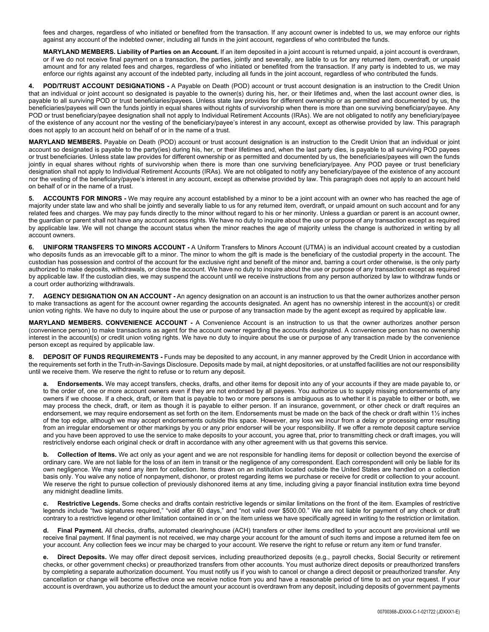fees and charges, regardless of who initiated or benefited from the transaction. If any account owner is indebted to us, we may enforce our rights against any account of the indebted owner, including all funds in the joint account, regardless of who contributed the funds.

**MARYLAND MEMBERS. Liability of Parties on an Account.** If an item deposited in a joint account is returned unpaid, a joint account is overdrawn, or if we do not receive final payment on a transaction, the parties, jointly and severally, are liable to us for any returned item, overdraft, or unpaid amount and for any related fees and charges, regardless of who initiated or benefited from the transaction. If any party is indebted to us, we may enforce our rights against any account of the indebted party, including all funds in the joint account, regardless of who contributed the funds.

**4. POD/TRUST ACCOUNT DESIGNATIONS -** A Payable on Death (POD) account or trust account designation is an instruction to the Credit Union that an individual or joint account so designated is payable to the owner(s) during his, her, or their lifetimes and, when the last account owner dies, is payable to all surviving POD or trust beneficiaries/payees. Unless state law provides for different ownership or as permitted and documented by us, the beneficiaries/payees will own the funds jointly in equal shares without rights of survivorship when there is more than one surviving beneficiary/payee. Any POD or trust beneficiary/payee designation shall not apply to Individual Retirement Accounts (IRAs). We are not obligated to notify any beneficiary/payee of the existence of any account nor the vesting of the beneficiary/payee's interest in any account, except as otherwise provided by law. This paragraph does not apply to an account held on behalf of or in the name of a trust.

**MARYLAND MEMBERS.** Payable on Death (POD) account or trust account designation is an instruction to the Credit Union that an individual or joint account so designated is payable to the party(ies) during his, her, or their lifetimes and, when the last party dies, is payable to all surviving POD payees or trust beneficiaries. Unless state law provides for different ownership or as permitted and documented by us, the beneficiaries/payees will own the funds jointly in equal shares without rights of survivorship when there is more than one surviving beneficiary/payee. Any POD payee or trust beneficiary designation shall not apply to Individual Retirement Accounts (IRAs). We are not obligated to notify any beneficiary/payee of the existence of any account nor the vesting of the beneficiary/payee's interest in any account, except as otherwise provided by law. This paragraph does not apply to an account held on behalf of or in the name of a trust.

**5. ACCOUNTS FOR MINORS -** We may require any account established by a minor to be a joint account with an owner who has reached the age of majority under state law and who shall be jointly and severally liable to us for any returned item, overdraft, or unpaid amount on such account and for any related fees and charges. We may pay funds directly to the minor without regard to his or her minority. Unless a guardian or parent is an account owner, the guardian or parent shall not have any account access rights. We have no duty to inquire about the use or purpose of any transaction except as required by applicable law. We will not change the account status when the minor reaches the age of majority unless the change is authorized in writing by all account owners.

**6. UNIFORM TRANSFERS TO MINORS ACCOUNT -** A Uniform Transfers to Minors Account (UTMA) is an individual account created by a custodian who deposits funds as an irrevocable gift to a minor. The minor to whom the gift is made is the beneficiary of the custodial property in the account. The custodian has possession and control of the account for the exclusive right and benefit of the minor and, barring a court order otherwise, is the only party authorized to make deposits, withdrawals, or close the account. We have no duty to inquire about the use or purpose of any transaction except as required by applicable law. If the custodian dies, we may suspend the account until we receive instructions from any person authorized by law to withdraw funds or a court order authorizing withdrawals.

**7. AGENCY DESIGNATION ON AN ACCOUNT -** An agency designation on an account is an instruction to us that the owner authorizes another person to make transactions as agent for the account owner regarding the accounts designated. An agent has no ownership interest in the account(s) or credit union voting rights. We have no duty to inquire about the use or purpose of any transaction made by the agent except as required by applicable law.

**MARYLAND MEMBERS. CONVENIENCE ACCOUNT -** A Convenience Account is an instruction to us that the owner authorizes another person (convenience person) to make transactions as agent for the account owner regarding the accounts designated. A convenience person has no ownership interest in the account(s) or credit union voting rights. We have no duty to inquire about the use or purpose of any transaction made by the convenience person except as required by applicable law.

**8. DEPOSIT OF FUNDS REQUIREMENTS -** Funds may be deposited to any account, in any manner approved by the Credit Union in accordance with the requirements set forth in the Truth-in-Savings Disclosure. Deposits made by mail, at night depositories, or at unstaffed facilities are not our responsibility until we receive them. We reserve the right to refuse or to return any deposit.

**a. Endorsements.** We may accept transfers, checks, drafts, and other items for deposit into any of your accounts if they are made payable to, or to the order of, one or more account owners even if they are not endorsed by all payees. You authorize us to supply missing endorsements of any owners if we choose. If a check, draft, or item that is payable to two or more persons is ambiguous as to whether it is payable to either or both, we may process the check, draft, or item as though it is payable to either person. If an insurance, government, or other check or draft requires an endorsement, we may require endorsement as set forth on the item. Endorsements must be made on the back of the check or draft within 1½ inches of the top edge, although we may accept endorsements outside this space. However, any loss we incur from a delay or processing error resulting from an irregular endorsement or other markings by you or any prior endorser will be your responsibility. If we offer a remote deposit capture service and you have been approved to use the service to make deposits to your account, you agree that, prior to transmitting check or draft images, you will restrictively endorse each original check or draft in accordance with any other agreement with us that governs this service.

**b. Collection of Items.** We act only as your agent and we are not responsible for handling items for deposit or collection beyond the exercise of ordinary care. We are not liable for the loss of an item in transit or the negligence of any correspondent. Each correspondent will only be liable for its own negligence. We may send any item for collection. Items drawn on an institution located outside the United States are handled on a collection basis only. You waive any notice of nonpayment, dishonor, or protest regarding items we purchase or receive for credit or collection to your account. We reserve the right to pursue collection of previously dishonored items at any time, including giving a payor financial institution extra time beyond any midnight deadline limits.

**c. Restrictive Legends.** Some checks and drafts contain restrictive legends or similar limitations on the front of the item. Examples of restrictive legends include "two signatures required," "void after 60 days," and "not valid over \$500.00." We are not liable for payment of any check or draft contrary to a restrictive legend or other limitation contained in or on the item unless we have specifically agreed in writing to the restriction or limitation.

**d. Final Payment.** All checks, drafts, automated clearinghouse (ACH) transfers or other items credited to your account are provisional until we receive final payment. If final payment is not received, we may charge your account for the amount of such items and impose a returned item fee on your account. Any collection fees we incur may be charged to your account. We reserve the right to refuse or return any item or fund transfer.

**e. Direct Deposits.** We may offer direct deposit services, including preauthorized deposits (e.g., payroll checks, Social Security or retirement checks, or other government checks) or preauthorized transfers from other accounts. You must authorize direct deposits or preauthorized transfers by completing a separate authorization document. You must notify us if you wish to cancel or change a direct deposit or preauthorized transfer. Any cancellation or change will become effective once we receive notice from you and have a reasonable period of time to act on your request. If your account is overdrawn, you authorize us to deduct the amount your account is overdrawn from any deposit, including deposits of government payments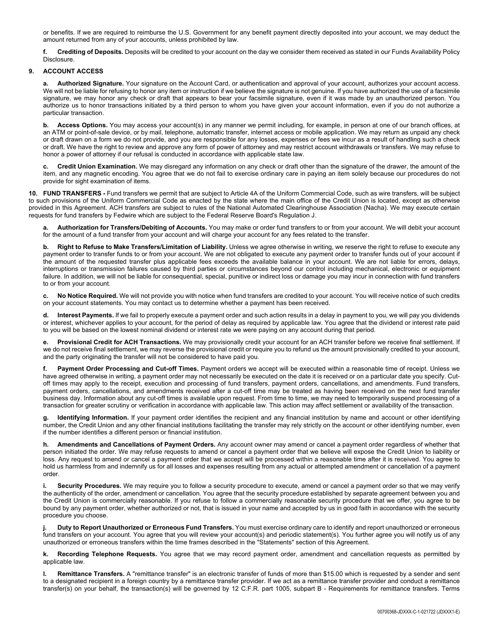or benefits. If we are required to reimburse the U.S. Government for any benefit payment directly deposited into your account, we may deduct the amount returned from any of your accounts, unless prohibited by law.

**f. Crediting of Deposits.** Deposits will be credited to your account on the day we consider them received as stated in our Funds Availability Policy Disclosure.

## **9. ACCOUNT ACCESS**

**a. Authorized Signature.** Your signature on the Account Card, or authentication and approval of your account, authorizes your account access. We will not be liable for refusing to honor any item or instruction if we believe the signature is not genuine. If you have authorized the use of a facsimile signature, we may honor any check or draft that appears to bear your facsimile signature, even if it was made by an unauthorized person. You authorize us to honor transactions initiated by a third person to whom you have given your account information, even if you do not authorize a particular transaction.

**b. Access Options.** You may access your account(s) in any manner we permit including, for example, in person at one of our branch offices, at an ATM or point-of-sale device, or by mail, telephone, automatic transfer, internet access or mobile application. We may return as unpaid any check or draft drawn on a form we do not provide, and you are responsible for any losses, expenses or fees we incur as a result of handling such a check or draft. We have the right to review and approve any form of power of attorney and may restrict account withdrawals or transfers. We may refuse to honor a power of attorney if our refusal is conducted in accordance with applicable state law.

**c. Credit Union Examination.** We may disregard any information on any check or draft other than the signature of the drawer, the amount of the item, and any magnetic encoding. You agree that we do not fail to exercise ordinary care in paying an item solely because our procedures do not provide for sight examination of items.

**10. FUND TRANSFERS -** Fund transfers we permit that are subject to Article 4A of the Uniform Commercial Code, such as wire transfers, will be subject to such provisions of the Uniform Commercial Code as enacted by the state where the main office of the Credit Union is located, except as otherwise provided in this Agreement. ACH transfers are subject to rules of the National Automated Clearinghouse Association (Nacha). We may execute certain requests for fund transfers by Fedwire which are subject to the Federal Reserve Board's Regulation J.

Authorization for Transfers/Debiting of Accounts. You may make or order fund transfers to or from your account. We will debit your account for the amount of a fund transfer from your account and will charge your account for any fees related to the transfer.

**b. Right to Refuse to Make Transfers/Limitation of Liability.** Unless we agree otherwise in writing, we reserve the right to refuse to execute any payment order to transfer funds to or from your account. We are not obligated to execute any payment order to transfer funds out of your account if the amount of the requested transfer plus applicable fees exceeds the available balance in your account. We are not liable for errors, delays, interruptions or transmission failures caused by third parties or circumstances beyond our control including mechanical, electronic or equipment failure. In addition, we will not be liable for consequential, special, punitive or indirect loss or damage you may incur in connection with fund transfers to or from your account.

**c. No Notice Required.** We will not provide you with notice when fund transfers are credited to your account. You will receive notice of such credits on your account statements. You may contact us to determine whether a payment has been received.

**d. Interest Payments.** If we fail to properly execute a payment order and such action results in a delay in payment to you, we will pay you dividends or interest, whichever applies to your account, for the period of delay as required by applicable law. You agree that the dividend or interest rate paid to you will be based on the lowest nominal dividend or interest rate we were paying on any account during that period.

**e. Provisional Credit for ACH Transactions.** We may provisionally credit your account for an ACH transfer before we receive final settlement. If we do not receive final settlement, we may reverse the provisional credit or require you to refund us the amount provisionally credited to your account, and the party originating the transfer will not be considered to have paid you.

**f. Payment Order Processing and Cut-off Times.** Payment orders we accept will be executed within a reasonable time of receipt. Unless we have agreed otherwise in writing, a payment order may not necessarily be executed on the date it is received or on a particular date you specify. Cutoff times may apply to the receipt, execution and processing of fund transfers, payment orders, cancellations, and amendments. Fund transfers, payment orders, cancellations, and amendments received after a cut-off time may be treated as having been received on the next fund transfer business day. Information about any cut-off times is available upon request. From time to time, we may need to temporarily suspend processing of a transaction for greater scrutiny or verification in accordance with applicable law. This action may affect settlement or availability of the transaction.

**g. Identifying Information.** If your payment order identifies the recipient and any financial institution by name and account or other identifying number, the Credit Union and any other financial institutions facilitating the transfer may rely strictly on the account or other identifying number, even if the number identifies a different person or financial institution.

**h. Amendments and Cancellations of Payment Orders.** Any account owner may amend or cancel a payment order regardless of whether that person initiated the order. We may refuse requests to amend or cancel a payment order that we believe will expose the Credit Union to liability or loss. Any request to amend or cancel a payment order that we accept will be processed within a reasonable time after it is received. You agree to hold us harmless from and indemnify us for all losses and expenses resulting from any actual or attempted amendment or cancellation of a payment order.

**i. Security Procedures.** We may require you to follow a security procedure to execute, amend or cancel a payment order so that we may verify the authenticity of the order, amendment or cancellation. You agree that the security procedure established by separate agreement between you and the Credit Union is commercially reasonable. If you refuse to follow a commercially reasonable security procedure that we offer, you agree to be bound by any payment order, whether authorized or not, that is issued in your name and accepted by us in good faith in accordance with the security procedure you choose.

**j. Duty to Report Unauthorized or Erroneous Fund Transfers.** You must exercise ordinary care to identify and report unauthorized or erroneous fund transfers on your account. You agree that you will review your account(s) and periodic statement(s). You further agree you will notify us of any unauthorized or erroneous transfers within the time frames described in the "Statements" section of this Agreement.

**k. Recording Telephone Requests.** You agree that we may record payment order, amendment and cancellation requests as permitted by applicable law.

**l. Remittance Transfers.** A "remittance transfer" is an electronic transfer of funds of more than \$15.00 which is requested by a sender and sent to a designated recipient in a foreign country by a remittance transfer provider. If we act as a remittance transfer provider and conduct a remittance transfer(s) on your behalf, the transaction(s) will be governed by 12 C.F.R. part 1005, subpart B - Requirements for remittance transfers. Terms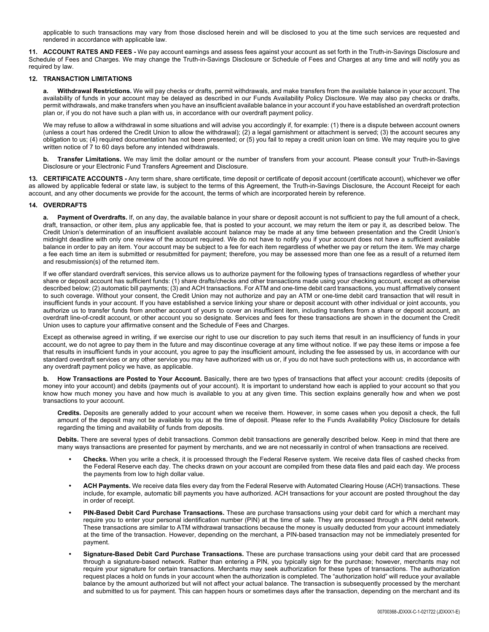applicable to such transactions may vary from those disclosed herein and will be disclosed to you at the time such services are requested and rendered in accordance with applicable law.

**11. ACCOUNT RATES AND FEES -** We pay account earnings and assess fees against your account as set forth in the Truth-in-Savings Disclosure and Schedule of Fees and Charges. We may change the Truth-in-Savings Disclosure or Schedule of Fees and Charges at any time and will notify you as required by law.

#### **12. TRANSACTION LIMITATIONS**

**a. Withdrawal Restrictions.** We will pay checks or drafts, permit withdrawals, and make transfers from the available balance in your account. The availability of funds in your account may be delayed as described in our Funds Availability Policy Disclosure. We may also pay checks or drafts, permit withdrawals, and make transfers when you have an insufficient available balance in your account if you have established an overdraft protection plan or, if you do not have such a plan with us, in accordance with our overdraft payment policy.

We may refuse to allow a withdrawal in some situations and will advise you accordingly if, for example: (1) there is a dispute between account owners (unless a court has ordered the Credit Union to allow the withdrawal); (2) a legal garnishment or attachment is served; (3) the account secures any obligation to us; (4) required documentation has not been presented; or (5) you fail to repay a credit union loan on time. We may require you to give written notice of 7 to 60 days before any intended withdrawals.

**b. Transfer Limitations.** We may limit the dollar amount or the number of transfers from your account. Please consult your Truth-in-Savings Disclosure or your Electronic Fund Transfers Agreement and Disclosure.

**13. CERTIFICATE ACCOUNTS -** Any term share, share certificate, time deposit or certificate of deposit account (certificate account), whichever we offer as allowed by applicable federal or state law, is subject to the terms of this Agreement, the Truth-in-Savings Disclosure, the Account Receipt for each account, and any other documents we provide for the account, the terms of which are incorporated herein by reference.

#### **14. OVERDRAFTS**

**a. Payment of Overdrafts.** If, on any day, the available balance in your share or deposit account is not sufficient to pay the full amount of a check, draft, transaction, or other item, plus any applicable fee, that is posted to your account, we may return the item or pay it, as described below. The Credit Union's determination of an insufficient available account balance may be made at any time between presentation and the Credit Union's midnight deadline with only one review of the account required. We do not have to notify you if your account does not have a sufficient available balance in order to pay an item. Your account may be subject to a fee for each item regardless of whether we pay or return the item. We may charge a fee each time an item is submitted or resubmitted for payment; therefore, you may be assessed more than one fee as a result of a returned item and resubmission(s) of the returned item.

If we offer standard overdraft services, this service allows us to authorize payment for the following types of transactions regardless of whether your share or deposit account has sufficient funds: (1) share drafts/checks and other transactions made using your checking account, except as otherwise described below; (2) automatic bill payments; (3) and ACH transactions. For ATM and one-time debit card transactions, you must affirmatively consent to such coverage. Without your consent, the Credit Union may not authorize and pay an ATM or one-time debit card transaction that will result in insufficient funds in your account. If you have established a service linking your share or deposit account with other individual or joint accounts, you authorize us to transfer funds from another account of yours to cover an insufficient item, including transfers from a share or deposit account, an overdraft line-of-credit account, or other account you so designate. Services and fees for these transactions are shown in the document the Credit Union uses to capture your affirmative consent and the Schedule of Fees and Charges.

Except as otherwise agreed in writing, if we exercise our right to use our discretion to pay such items that result in an insufficiency of funds in your account, we do not agree to pay them in the future and may discontinue coverage at any time without notice. If we pay these items or impose a fee that results in insufficient funds in your account, you agree to pay the insufficient amount, including the fee assessed by us, in accordance with our standard overdraft services or any other service you may have authorized with us or, if you do not have such protections with us, in accordance with any overdraft payment policy we have, as applicable.

**b. How Transactions are Posted to Your Account.** Basically, there are two types of transactions that affect your account: credits (deposits of money into your account) and debits (payments out of your account). It is important to understand how each is applied to your account so that you know how much money you have and how much is available to you at any given time. This section explains generally how and when we post transactions to your account.

**Credits.** Deposits are generally added to your account when we receive them. However, in some cases when you deposit a check, the full amount of the deposit may not be available to you at the time of deposit. Please refer to the Funds Availability Policy Disclosure for details regarding the timing and availability of funds from deposits.

**Debits.** There are several types of debit transactions. Common debit transactions are generally described below. Keep in mind that there are many ways transactions are presented for payment by merchants, and we are not necessarily in control of when transactions are received.

- **• Checks.** When you write a check, it is processed through the Federal Reserve system. We receive data files of cashed checks from the Federal Reserve each day. The checks drawn on your account are compiled from these data files and paid each day. We process the payments from low to high dollar value.
- **• ACH Payments.** We receive data files every day from the Federal Reserve with Automated Clearing House (ACH) transactions. These include, for example, automatic bill payments you have authorized. ACH transactions for your account are posted throughout the day in order of receipt.
- **• PIN-Based Debit Card Purchase Transactions.** These are purchase transactions using your debit card for which a merchant may require you to enter your personal identification number (PIN) at the time of sale. They are processed through a PIN debit network. These transactions are similar to ATM withdrawal transactions because the money is usually deducted from your account immediately at the time of the transaction. However, depending on the merchant, a PIN-based transaction may not be immediately presented for payment.
- **• Signature-Based Debit Card Purchase Transactions.** These are purchase transactions using your debit card that are processed through a signature-based network. Rather than entering a PIN, you typically sign for the purchase; however, merchants may not require your signature for certain transactions. Merchants may seek authorization for these types of transactions. The authorization request places a hold on funds in your account when the authorization is completed. The "authorization hold" will reduce your available balance by the amount authorized but will not affect your actual balance. The transaction is subsequently processed by the merchant and submitted to us for payment. This can happen hours or sometimes days after the transaction, depending on the merchant and its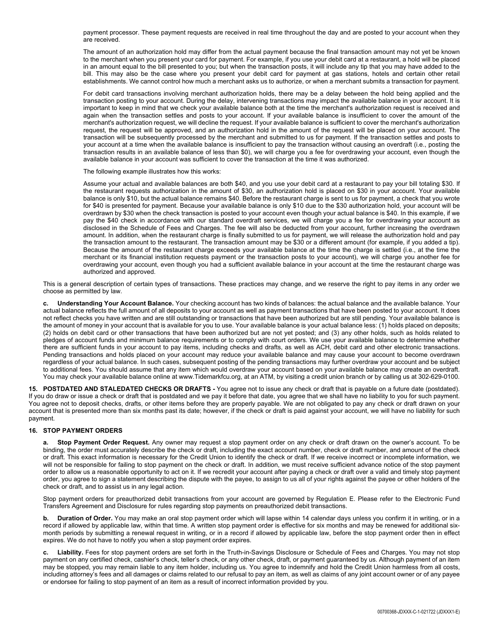payment processor. These payment requests are received in real time throughout the day and are posted to your account when they are received.

The amount of an authorization hold may differ from the actual payment because the final transaction amount may not yet be known to the merchant when you present your card for payment. For example, if you use your debit card at a restaurant, a hold will be placed in an amount equal to the bill presented to you; but when the transaction posts, it will include any tip that you may have added to the bill. This may also be the case where you present your debit card for payment at gas stations, hotels and certain other retail establishments. We cannot control how much a merchant asks us to authorize, or when a merchant submits a transaction for payment.

For debit card transactions involving merchant authorization holds, there may be a delay between the hold being applied and the transaction posting to your account. During the delay, intervening transactions may impact the available balance in your account. It is important to keep in mind that we check your available balance both at the time the merchant's authorization request is received and again when the transaction settles and posts to your account. If your available balance is insufficient to cover the amount of the merchant's authorization request, we will decline the request. If your available balance is sufficient to cover the merchant's authorization request, the request will be approved, and an authorization hold in the amount of the request will be placed on your account. The transaction will be subsequently processed by the merchant and submitted to us for payment. If the transaction settles and posts to your account at a time when the available balance is insufficient to pay the transaction without causing an overdraft (i.e., posting the transaction results in an available balance of less than \$0), we will charge you a fee for overdrawing your account, even though the available balance in your account was sufficient to cover the transaction at the time it was authorized.

The following example illustrates how this works:

Assume your actual and available balances are both \$40, and you use your debit card at a restaurant to pay your bill totaling \$30. If the restaurant requests authorization in the amount of \$30, an authorization hold is placed on \$30 in your account. Your available balance is only \$10, but the actual balance remains \$40. Before the restaurant charge is sent to us for payment, a check that you wrote for \$40 is presented for payment. Because your available balance is only \$10 due to the \$30 authorization hold, your account will be overdrawn by \$30 when the check transaction is posted to your account even though your actual balance is \$40. In this example, if we pay the \$40 check in accordance with our standard overdraft services, we will charge you a fee for overdrawing your account as disclosed in the Schedule of Fees and Charges. The fee will also be deducted from your account, further increasing the overdrawn amount. In addition, when the restaurant charge is finally submitted to us for payment, we will release the authorization hold and pay the transaction amount to the restaurant. The transaction amount may be \$30 or a different amount (for example, if you added a tip). Because the amount of the restaurant charge exceeds your available balance at the time the charge is settled (i.e., at the time the merchant or its financial institution requests payment or the transaction posts to your account), we will charge you another fee for overdrawing your account, even though you had a sufficient available balance in your account at the time the restaurant charge was authorized and approved.

This is a general description of certain types of transactions. These practices may change, and we reserve the right to pay items in any order we choose as permitted by law.

**c. Understanding Your Account Balance.** Your checking account has two kinds of balances: the actual balance and the available balance. Your actual balance reflects the full amount of all deposits to your account as well as payment transactions that have been posted to your account. It does not reflect checks you have written and are still outstanding or transactions that have been authorized but are still pending. Your available balance is the amount of money in your account that is available for you to use. Your available balance is your actual balance less: (1) holds placed on deposits; (2) holds on debit card or other transactions that have been authorized but are not yet posted; and (3) any other holds, such as holds related to pledges of account funds and minimum balance requirements or to comply with court orders. We use your available balance to determine whether there are sufficient funds in your account to pay items, including checks and drafts, as well as ACH, debit card and other electronic transactions. Pending transactions and holds placed on your account may reduce your available balance and may cause your account to become overdrawn regardless of your actual balance. In such cases, subsequent posting of the pending transactions may further overdraw your account and be subject to additional fees. You should assume that any item which would overdraw your account based on your available balance may create an overdraft. You may check your available balance online at www.Tidemarkfcu.org, at an ATM, by visiting a credit union branch or by calling us at 302-629-0100.

**15. POSTDATED AND STALEDATED CHECKS OR DRAFTS -** You agree not to issue any check or draft that is payable on a future date (postdated). If you do draw or issue a check or draft that is postdated and we pay it before that date, you agree that we shall have no liability to you for such payment. You agree not to deposit checks, drafts, or other items before they are properly payable. We are not obligated to pay any check or draft drawn on your account that is presented more than six months past its date; however, if the check or draft is paid against your account, we will have no liability for such payment.

## **16. STOP PAYMENT ORDERS**

**a. Stop Payment Order Request.** Any owner may request a stop payment order on any check or draft drawn on the owner's account. To be binding, the order must accurately describe the check or draft, including the exact account number, check or draft number, and amount of the check or draft. This exact information is necessary for the Credit Union to identify the check or draft. If we receive incorrect or incomplete information, we will not be responsible for failing to stop payment on the check or draft. In addition, we must receive sufficient advance notice of the stop payment order to allow us a reasonable opportunity to act on it. If we recredit your account after paying a check or draft over a valid and timely stop payment order, you agree to sign a statement describing the dispute with the payee, to assign to us all of your rights against the payee or other holders of the check or draft, and to assist us in any legal action.

Stop payment orders for preauthorized debit transactions from your account are governed by Regulation E. Please refer to the Electronic Fund Transfers Agreement and Disclosure for rules regarding stop payments on preauthorized debit transactions.

**b. Duration of Order.** You may make an oral stop payment order which will lapse within 14 calendar days unless you confirm it in writing, or in a record if allowed by applicable law, within that time. A written stop payment order is effective for six months and may be renewed for additional sixmonth periods by submitting a renewal request in writing, or in a record if allowed by applicable law, before the stop payment order then in effect expires. We do not have to notify you when a stop payment order expires.

**c. Liability.** Fees for stop payment orders are set forth in the Truth-in-Savings Disclosure or Schedule of Fees and Charges. You may not stop payment on any certified check, cashier's check, teller's check, or any other check, draft, or payment guaranteed by us. Although payment of an item may be stopped, you may remain liable to any item holder, including us. You agree to indemnify and hold the Credit Union harmless from all costs, including attorney's fees and all damages or claims related to our refusal to pay an item, as well as claims of any joint account owner or of any payee or endorsee for failing to stop payment of an item as a result of incorrect information provided by you.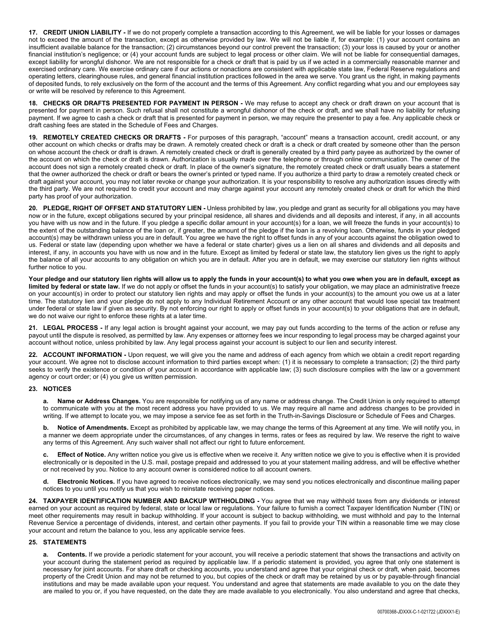**17. CREDIT UNION LIABILITY -** If we do not properly complete a transaction according to this Agreement, we will be liable for your losses or damages not to exceed the amount of the transaction, except as otherwise provided by law. We will not be liable if, for example: (1) your account contains an insufficient available balance for the transaction; (2) circumstances beyond our control prevent the transaction; (3) your loss is caused by your or another financial institution's negligence; or (4) your account funds are subject to legal process or other claim. We will not be liable for consequential damages, except liability for wrongful dishonor. We are not responsible for a check or draft that is paid by us if we acted in a commercially reasonable manner and exercised ordinary care. We exercise ordinary care if our actions or nonactions are consistent with applicable state law, Federal Reserve regulations and operating letters, clearinghouse rules, and general financial institution practices followed in the area we serve. You grant us the right, in making payments of deposited funds, to rely exclusively on the form of the account and the terms of this Agreement. Any conflict regarding what you and our employees say or write will be resolved by reference to this Agreement.

**18. CHECKS OR DRAFTS PRESENTED FOR PAYMENT IN PERSON -** We may refuse to accept any check or draft drawn on your account that is presented for payment in person. Such refusal shall not constitute a wrongful dishonor of the check or draft, and we shall have no liability for refusing payment. If we agree to cash a check or draft that is presented for payment in person, we may require the presenter to pay a fee. Any applicable check or draft cashing fees are stated in the Schedule of Fees and Charges.

**19. REMOTELY CREATED CHECKS OR DRAFTS -** For purposes of this paragraph, "account" means a transaction account, credit account, or any other account on which checks or drafts may be drawn. A remotely created check or draft is a check or draft created by someone other than the person on whose account the check or draft is drawn. A remotely created check or draft is generally created by a third party payee as authorized by the owner of the account on which the check or draft is drawn. Authorization is usually made over the telephone or through online communication. The owner of the account does not sign a remotely created check or draft. In place of the owner's signature, the remotely created check or draft usually bears a statement that the owner authorized the check or draft or bears the owner's printed or typed name. If you authorize a third party to draw a remotely created check or draft against your account, you may not later revoke or change your authorization. It is your responsibility to resolve any authorization issues directly with the third party. We are not required to credit your account and may charge against your account any remotely created check or draft for which the third party has proof of your authorization.

**20. PLEDGE, RIGHT OF OFFSET AND STATUTORY LIEN -** Unless prohibited by law, you pledge and grant as security for all obligations you may have now or in the future, except obligations secured by your principal residence, all shares and dividends and all deposits and interest, if any, in all accounts you have with us now and in the future. If you pledge a specific dollar amount in your account(s) for a loan, we will freeze the funds in your account(s) to the extent of the outstanding balance of the loan or, if greater, the amount of the pledge if the loan is a revolving loan. Otherwise, funds in your pledged account(s) may be withdrawn unless you are in default. You agree we have the right to offset funds in any of your accounts against the obligation owed to us. Federal or state law (depending upon whether we have a federal or state charter) gives us a lien on all shares and dividends and all deposits and interest, if any, in accounts you have with us now and in the future. Except as limited by federal or state law, the statutory lien gives us the right to apply the balance of all your accounts to any obligation on which you are in default. After you are in default, we may exercise our statutory lien rights without further notice to you.

**Your pledge and our statutory lien rights will allow us to apply the funds in your account(s) to what you owe when you are in default, except as limited by federal or state law.** If we do not apply or offset the funds in your account(s) to satisfy your obligation, we may place an administrative freeze on your account(s) in order to protect our statutory lien rights and may apply or offset the funds in your account(s) to the amount you owe us at a later time. The statutory lien and your pledge do not apply to any Individual Retirement Account or any other account that would lose special tax treatment under federal or state law if given as security. By not enforcing our right to apply or offset funds in your account(s) to your obligations that are in default, we do not waive our right to enforce these rights at a later time.

**21. LEGAL PROCESS -** If any legal action is brought against your account, we may pay out funds according to the terms of the action or refuse any payout until the dispute is resolved, as permitted by law. Any expenses or attorney fees we incur responding to legal process may be charged against your account without notice, unless prohibited by law. Any legal process against your account is subject to our lien and security interest.

**22. ACCOUNT INFORMATION -** Upon request, we will give you the name and address of each agency from which we obtain a credit report regarding your account. We agree not to disclose account information to third parties except when: (1) it is necessary to complete a transaction; (2) the third party seeks to verify the existence or condition of your account in accordance with applicable law; (3) such disclosure complies with the law or a government agency or court order; or (4) you give us written permission.

## **23. NOTICES**

**a. Name or Address Changes.** You are responsible for notifying us of any name or address change. The Credit Union is only required to attempt to communicate with you at the most recent address you have provided to us. We may require all name and address changes to be provided in writing. If we attempt to locate you, we may impose a service fee as set forth in the Truth-in-Savings Disclosure or Schedule of Fees and Charges.

**b. Notice of Amendments.** Except as prohibited by applicable law, we may change the terms of this Agreement at any time. We will notify you, in a manner we deem appropriate under the circumstances, of any changes in terms, rates or fees as required by law. We reserve the right to waive any terms of this Agreement. Any such waiver shall not affect our right to future enforcement.

**c. Effect of Notice.** Any written notice you give us is effective when we receive it. Any written notice we give to you is effective when it is provided electronically or is deposited in the U.S. mail, postage prepaid and addressed to you at your statement mailing address, and will be effective whether or not received by you. Notice to any account owner is considered notice to all account owners.

**d. Electronic Notices.** If you have agreed to receive notices electronically, we may send you notices electronically and discontinue mailing paper notices to you until you notify us that you wish to reinstate receiving paper notices.

**24. TAXPAYER IDENTIFICATION NUMBER AND BACKUP WITHHOLDING -** You agree that we may withhold taxes from any dividends or interest earned on your account as required by federal, state or local law or regulations. Your failure to furnish a correct Taxpayer Identification Number (TIN) or meet other requirements may result in backup withholding. If your account is subject to backup withholding, we must withhold and pay to the Internal Revenue Service a percentage of dividends, interest, and certain other payments. If you fail to provide your TIN within a reasonable time we may close your account and return the balance to you, less any applicable service fees.

## **25. STATEMENTS**

**a. Contents.** If we provide a periodic statement for your account, you will receive a periodic statement that shows the transactions and activity on your account during the statement period as required by applicable law. If a periodic statement is provided, you agree that only one statement is necessary for joint accounts. For share draft or checking accounts, you understand and agree that your original check or draft, when paid, becomes property of the Credit Union and may not be returned to you, but copies of the check or draft may be retained by us or by payable-through financial institutions and may be made available upon your request. You understand and agree that statements are made available to you on the date they are mailed to you or, if you have requested, on the date they are made available to you electronically. You also understand and agree that checks,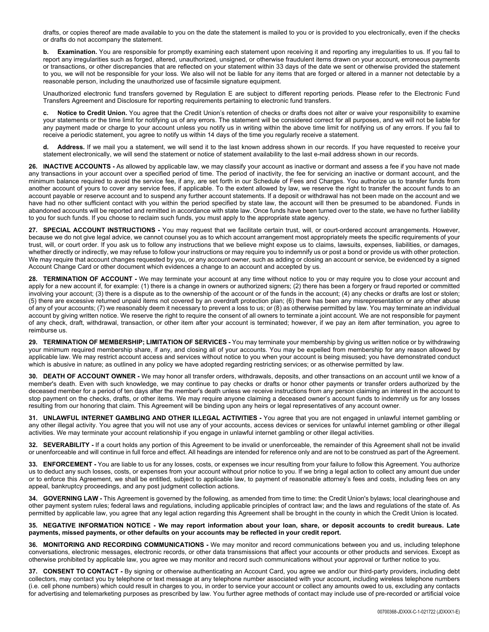drafts, or copies thereof are made available to you on the date the statement is mailed to you or is provided to you electronically, even if the checks or drafts do not accompany the statement.

**b. Examination.** You are responsible for promptly examining each statement upon receiving it and reporting any irregularities to us. If you fail to report any irregularities such as forged, altered, unauthorized, unsigned, or otherwise fraudulent items drawn on your account, erroneous payments or transactions, or other discrepancies that are reflected on your statement within 33 days of the date we sent or otherwise provided the statement to you, we will not be responsible for your loss. We also will not be liable for any items that are forged or altered in a manner not detectable by a reasonable person, including the unauthorized use of facsimile signature equipment.

Unauthorized electronic fund transfers governed by Regulation E are subject to different reporting periods. Please refer to the Electronic Fund Transfers Agreement and Disclosure for reporting requirements pertaining to electronic fund transfers.

Notice to Credit Union. You agree that the Credit Union's retention of checks or drafts does not alter or waive your responsibility to examine your statements or the time limit for notifying us of any errors. The statement will be considered correct for all purposes, and we will not be liable for any payment made or charge to your account unless you notify us in writing within the above time limit for notifying us of any errors. If you fail to receive a periodic statement, you agree to notify us within 14 days of the time you regularly receive a statement.

**d. Address.** If we mail you a statement, we will send it to the last known address shown in our records. If you have requested to receive your statement electronically, we will send the statement or notice of statement availability to the last e-mail address shown in our records.

**26. INACTIVE ACCOUNTS -** As allowed by applicable law, we may classify your account as inactive or dormant and assess a fee if you have not made any transactions in your account over a specified period of time. The period of inactivity, the fee for servicing an inactive or dormant account, and the minimum balance required to avoid the service fee, if any, are set forth in our Schedule of Fees and Charges. You authorize us to transfer funds from another account of yours to cover any service fees, if applicable. To the extent allowed by law, we reserve the right to transfer the account funds to an account payable or reserve account and to suspend any further account statements. If a deposit or withdrawal has not been made on the account and we have had no other sufficient contact with you within the period specified by state law, the account will then be presumed to be abandoned. Funds in abandoned accounts will be reported and remitted in accordance with state law. Once funds have been turned over to the state, we have no further liability to you for such funds. If you choose to reclaim such funds, you must apply to the appropriate state agency.

**27. SPECIAL ACCOUNT INSTRUCTIONS -** You may request that we facilitate certain trust, will, or court-ordered account arrangements. However, because we do not give legal advice, we cannot counsel you as to which account arrangement most appropriately meets the specific requirements of your trust, will, or court order. If you ask us to follow any instructions that we believe might expose us to claims, lawsuits, expenses, liabilities, or damages, whether directly or indirectly, we may refuse to follow your instructions or may require you to indemnify us or post a bond or provide us with other protection. We may require that account changes requested by you, or any account owner, such as adding or closing an account or service, be evidenced by a signed Account Change Card or other document which evidences a change to an account and accepted by us.

**28. TERMINATION OF ACCOUNT -** We may terminate your account at any time without notice to you or may require you to close your account and apply for a new account if, for example: (1) there is a change in owners or authorized signers; (2) there has been a forgery or fraud reported or committed involving your account; (3) there is a dispute as to the ownership of the account or of the funds in the account; (4) any checks or drafts are lost or stolen; (5) there are excessive returned unpaid items not covered by an overdraft protection plan; (6) there has been any misrepresentation or any other abuse of any of your accounts; (7) we reasonably deem it necessary to prevent a loss to us; or (8) as otherwise permitted by law. You may terminate an individual account by giving written notice. We reserve the right to require the consent of all owners to terminate a joint account. We are not responsible for payment of any check, draft, withdrawal, transaction, or other item after your account is terminated; however, if we pay an item after termination, you agree to reimburse us.

**29. TERMINATION OF MEMBERSHIP; LIMITATION OF SERVICES -** You may terminate your membership by giving us written notice or by withdrawing your minimum required membership share, if any, and closing all of your accounts. You may be expelled from membership for any reason allowed by applicable law. We may restrict account access and services without notice to you when your account is being misused; you have demonstrated conduct which is abusive in nature; as outlined in any policy we have adopted regarding restricting services; or as otherwise permitted by law.

**30. DEATH OF ACCOUNT OWNER -** We may honor all transfer orders, withdrawals, deposits, and other transactions on an account until we know of a member's death. Even with such knowledge, we may continue to pay checks or drafts or honor other payments or transfer orders authorized by the deceased member for a period of ten days after the member's death unless we receive instructions from any person claiming an interest in the account to stop payment on the checks, drafts, or other items. We may require anyone claiming a deceased owner's account funds to indemnify us for any losses resulting from our honoring that claim. This Agreement will be binding upon any heirs or legal representatives of any account owner.

**31. UNLAWFUL INTERNET GAMBLING AND OTHER ILLEGAL ACTIVITIES -** You agree that you are not engaged in unlawful internet gambling or any other illegal activity. You agree that you will not use any of your accounts, access devices or services for unlawful internet gambling or other illegal activities. We may terminate your account relationship if you engage in unlawful internet gambling or other illegal activities.

**32. SEVERABILITY -** If a court holds any portion of this Agreement to be invalid or unenforceable, the remainder of this Agreement shall not be invalid or unenforceable and will continue in full force and effect. All headings are intended for reference only and are not to be construed as part of the Agreement.

**33. ENFORCEMENT -** You are liable to us for any losses, costs, or expenses we incur resulting from your failure to follow this Agreement. You authorize us to deduct any such losses, costs, or expenses from your account without prior notice to you. If we bring a legal action to collect any amount due under or to enforce this Agreement, we shall be entitled, subject to applicable law, to payment of reasonable attorney's fees and costs, including fees on any appeal, bankruptcy proceedings, and any post judgment collection actions.

**34. GOVERNING LAW -** This Agreement is governed by the following, as amended from time to time: the Credit Union's bylaws; local clearinghouse and other payment system rules; federal laws and regulations, including applicable principles of contract law; and the laws and regulations of the state of. As permitted by applicable law, you agree that any legal action regarding this Agreement shall be brought in the county in which the Credit Union is located.

**35. NEGATIVE INFORMATION NOTICE - We may report information about your loan, share, or deposit accounts to credit bureaus. Late payments, missed payments, or other defaults on your accounts may be reflected in your credit report.**

**36. MONITORING AND RECORDING COMMUNICATIONS -** We may monitor and record communications between you and us, including telephone conversations, electronic messages, electronic records, or other data transmissions that affect your accounts or other products and services. Except as otherwise prohibited by applicable law, you agree we may monitor and record such communications without your approval or further notice to you.

**37. CONSENT TO CONTACT -** By signing or otherwise authenticating an Account Card, you agree we and/or our third-party providers, including debt collectors, may contact you by telephone or text message at any telephone number associated with your account, including wireless telephone numbers (i.e. cell phone numbers) which could result in charges to you, in order to service your account or collect any amounts owed to us, excluding any contacts for advertising and telemarketing purposes as prescribed by law. You further agree methods of contact may include use of pre-recorded or artificial voice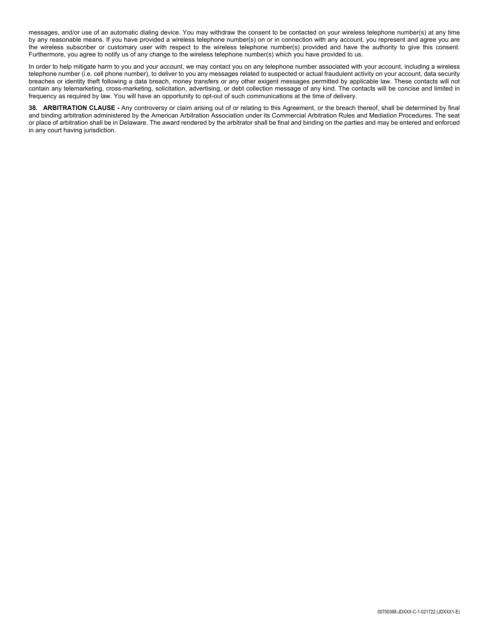messages, and/or use of an automatic dialing device. You may withdraw the consent to be contacted on your wireless telephone number(s) at any time by any reasonable means. If you have provided a wireless telephone number(s) on or in connection with any account, you represent and agree you are the wireless subscriber or customary user with respect to the wireless telephone number(s) provided and have the authority to give this consent. Furthermore, you agree to notify us of any change to the wireless telephone number(s) which you have provided to us.

In order to help mitigate harm to you and your account, we may contact you on any telephone number associated with your account, including a wireless telephone number (i.e. cell phone number), to deliver to you any messages related to suspected or actual fraudulent activity on your account, data security breaches or identity theft following a data breach, money transfers or any other exigent messages permitted by applicable law. These contacts will not contain any telemarketing, cross-marketing, solicitation, advertising, or debt collection message of any kind. The contacts will be concise and limited in frequency as required by law. You will have an opportunity to opt-out of such communications at the time of delivery.

**38. ARBITRATION CLAUSE -** Any controversy or claim arising out of or relating to this Agreement, or the breach thereof, shall be determined by final and binding arbitration administered by the American Arbitration Association under its Commercial Arbitration Rules and Mediation Procedures. The seat or place of arbitration shall be in Delaware. The award rendered by the arbitrator shall be final and binding on the parties and may be entered and enforced in any court having jurisdiction.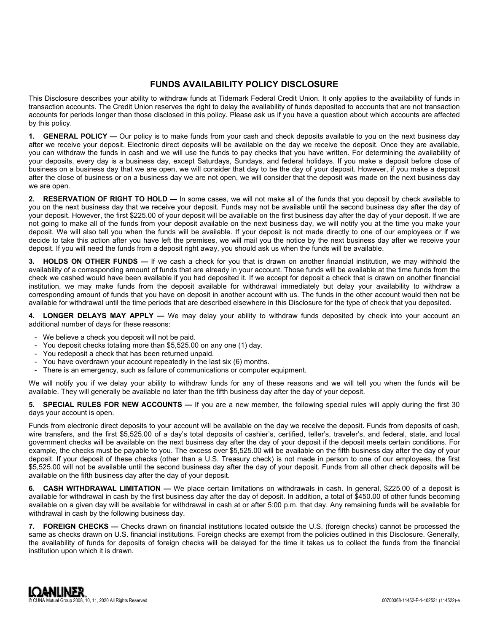## **FUNDS AVAILABILITY POLICY DISCLOSURE**

This Disclosure describes your ability to withdraw funds at Tidemark Federal Credit Union. It only applies to the availability of funds in transaction accounts. The Credit Union reserves the right to delay the availability of funds deposited to accounts that are not transaction accounts for periods longer than those disclosed in this policy. Please ask us if you have a question about which accounts are affected by this policy.

**1. GENERAL POLICY —** Our policy is to make funds from your cash and check deposits available to you on the next business day after we receive your deposit. Electronic direct deposits will be available on the day we receive the deposit. Once they are available, you can withdraw the funds in cash and we will use the funds to pay checks that you have written. For determining the availability of your deposits, every day is a business day, except Saturdays, Sundays, and federal holidays. If you make a deposit before close of business on a business day that we are open, we will consider that day to be the day of your deposit. However, if you make a deposit after the close of business or on a business day we are not open, we will consider that the deposit was made on the next business day we are open.

**2. RESERVATION OF RIGHT TO HOLD —** In some cases, we will not make all of the funds that you deposit by check available to you on the next business day that we receive your deposit. Funds may not be available until the second business day after the day of your deposit. However, the first \$225.00 of your deposit will be available on the first business day after the day of your deposit. If we are not going to make all of the funds from your deposit available on the next business day, we will notify you at the time you make your deposit. We will also tell you when the funds will be available. If your deposit is not made directly to one of our employees or if we decide to take this action after you have left the premises, we will mail you the notice by the next business day after we receive your deposit. If you will need the funds from a deposit right away, you should ask us when the funds will be available.

**3. HOLDS ON OTHER FUNDS —** If we cash a check for you that is drawn on another financial institution, we may withhold the availability of a corresponding amount of funds that are already in your account. Those funds will be available at the time funds from the check we cashed would have been available if you had deposited it. If we accept for deposit a check that is drawn on another financial institution, we may make funds from the deposit available for withdrawal immediately but delay your availability to withdraw a corresponding amount of funds that you have on deposit in another account with us. The funds in the other account would then not be available for withdrawal until the time periods that are described elsewhere in this Disclosure for the type of check that you deposited.

**4. LONGER DELAYS MAY APPLY —** We may delay your ability to withdraw funds deposited by check into your account an additional number of days for these reasons:

- We believe a check you deposit will not be paid.
- You deposit checks totaling more than \$5,525.00 on any one (1) day.
- You redeposit a check that has been returned unpaid.
- You have overdrawn your account repeatedly in the last six (6) months.
- There is an emergency, such as failure of communications or computer equipment.

We will notify you if we delay your ability to withdraw funds for any of these reasons and we will tell you when the funds will be available. They will generally be available no later than the fifth business day after the day of your deposit.

**SPECIAL RULES FOR NEW ACCOUNTS —** If you are a new member, the following special rules will apply during the first 30 days your account is open.

Funds from electronic direct deposits to your account will be available on the day we receive the deposit. Funds from deposits of cash, wire transfers, and the first \$5,525.00 of a day's total deposits of cashier's, certified, teller's, traveler's, and federal, state, and local government checks will be available on the next business day after the day of your deposit if the deposit meets certain conditions. For example, the checks must be payable to you. The excess over \$5,525.00 will be available on the fifth business day after the day of your deposit. If your deposit of these checks (other than a U.S. Treasury check) is not made in person to one of our employees, the first \$5,525.00 will not be available until the second business day after the day of your deposit. Funds from all other check deposits will be available on the fifth business day after the day of your deposit.

**6. CASH WITHDRAWAL LIMITATION —** We place certain limitations on withdrawals in cash. In general, \$225.00 of a deposit is available for withdrawal in cash by the first business day after the day of deposit. In addition, a total of \$450.00 of other funds becoming available on a given day will be available for withdrawal in cash at or after 5:00 p.m. that day. Any remaining funds will be available for withdrawal in cash by the following business day.

**7. FOREIGN CHECKS —** Checks drawn on financial institutions located outside the U.S. (foreign checks) cannot be processed the same as checks drawn on U.S. financial institutions. Foreign checks are exempt from the policies outlined in this Disclosure. Generally, the availability of funds for deposits of foreign checks will be delayed for the time it takes us to collect the funds from the financial institution upon which it is drawn.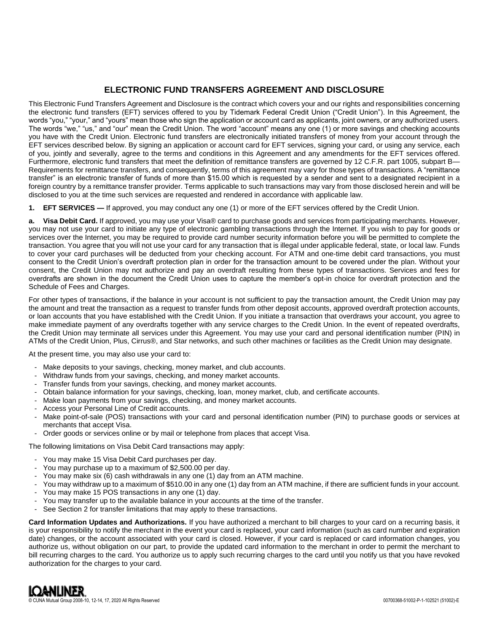## **ELECTRONIC FUND TRANSFERS AGREEMENT AND DISCLOSURE**

This Electronic Fund Transfers Agreement and Disclosure is the contract which covers your and our rights and responsibilities concerning the electronic fund transfers (EFT) services offered to you by Tidemark Federal Credit Union ("Credit Union"). In this Agreement, the words "you," "your," and "yours" mean those who sign the application or account card as applicants, joint owners, or any authorized users. The words "we," "us," and "our" mean the Credit Union. The word "account" means any one (1) or more savings and checking accounts you have with the Credit Union. Electronic fund transfers are electronically initiated transfers of money from your account through the EFT services described below. By signing an application or account card for EFT services, signing your card, or using any service, each of you, jointly and severally, agree to the terms and conditions in this Agreement and any amendments for the EFT services offered. Furthermore, electronic fund transfers that meet the definition of remittance transfers are governed by 12 C.F.R. part 1005, subpart B— Requirements for remittance transfers, and consequently, terms of this agreement may vary for those types of transactions. A "remittance transfer" is an electronic transfer of funds of more than \$15.00 which is requested by a sender and sent to a designated recipient in a foreign country by a remittance transfer provider. Terms applicable to such transactions may vary from those disclosed herein and will be disclosed to you at the time such services are requested and rendered in accordance with applicable law.

**1. EFT SERVICES —** If approved, you may conduct any one (1) or more of the EFT services offered by the Credit Union.

**a. Visa Debit Card.** If approved, you may use your Visa® card to purchase goods and services from participating merchants. However, you may not use your card to initiate any type of electronic gambling transactions through the Internet. If you wish to pay for goods or services over the Internet, you may be required to provide card number security information before you will be permitted to complete the transaction. You agree that you will not use your card for any transaction that is illegal under applicable federal, state, or local law. Funds to cover your card purchases will be deducted from your checking account. For ATM and one-time debit card transactions, you must consent to the Credit Union's overdraft protection plan in order for the transaction amount to be covered under the plan. Without your consent, the Credit Union may not authorize and pay an overdraft resulting from these types of transactions. Services and fees for overdrafts are shown in the document the Credit Union uses to capture the member's opt-in choice for overdraft protection and the Schedule of Fees and Charges.

For other types of transactions, if the balance in your account is not sufficient to pay the transaction amount, the Credit Union may pay the amount and treat the transaction as a request to transfer funds from other deposit accounts, approved overdraft protection accounts, or loan accounts that you have established with the Credit Union. If you initiate a transaction that overdraws your account, you agree to make immediate payment of any overdrafts together with any service charges to the Credit Union. In the event of repeated overdrafts, the Credit Union may terminate all services under this Agreement. You may use your card and personal identification number (PIN) in ATMs of the Credit Union, Plus, Cirrus®, and Star networks, and such other machines or facilities as the Credit Union may designate.

At the present time, you may also use your card to:

- Make deposits to your savings, checking, money market, and club accounts.
- Withdraw funds from your savings, checking, and money market accounts.
- Transfer funds from your savings, checking, and money market accounts.
- Obtain balance information for your savings, checking, loan, money market, club, and certificate accounts.
- Make loan payments from your savings, checking, and money market accounts.
- Access your Personal Line of Credit accounts.
- Make point-of-sale (POS) transactions with your card and personal identification number (PIN) to purchase goods or services at merchants that accept Visa.
- Order goods or services online or by mail or telephone from places that accept Visa.

The following limitations on Visa Debit Card transactions may apply:

- You may make 15 Visa Debit Card purchases per day.
- You may purchase up to a maximum of \$2,500.00 per day.
- You may make six (6) cash withdrawals in any one (1) day from an ATM machine.
- You may withdraw up to a maximum of \$510.00 in any one (1) day from an ATM machine, if there are sufficient funds in your account.
- You may make 15 POS transactions in any one (1) day.
- You may transfer up to the available balance in your accounts at the time of the transfer.
- See Section 2 for transfer limitations that may apply to these transactions.

**Card Information Updates and Authorizations.** If you have authorized a merchant to bill charges to your card on a recurring basis, it is your responsibility to notify the merchant in the event your card is replaced, your card information (such as card number and expiration date) changes, or the account associated with your card is closed. However, if your card is replaced or card information changes, you authorize us, without obligation on our part, to provide the updated card information to the merchant in order to permit the merchant to bill recurring charges to the card. You authorize us to apply such recurring charges to the card until you notify us that you have revoked authorization for the charges to your card.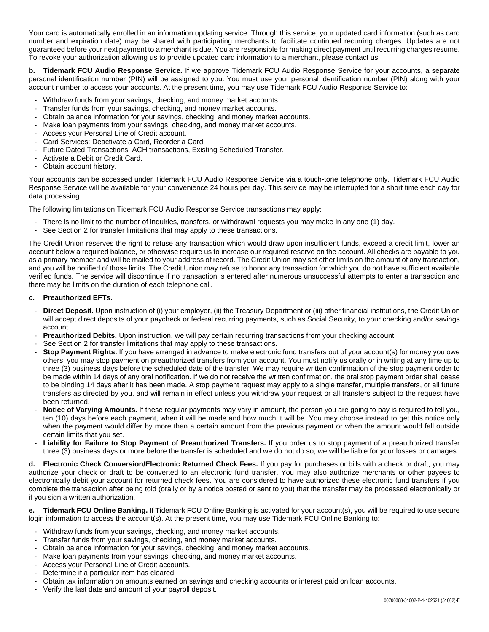Your card is automatically enrolled in an information updating service. Through this service, your updated card information (such as card number and expiration date) may be shared with participating merchants to facilitate continued recurring charges. Updates are not guaranteed before your next payment to a merchant is due. You are responsible for making direct payment until recurring charges resume. To revoke your authorization allowing us to provide updated card information to a merchant, please contact us.

**b. Tidemark FCU Audio Response Service.** If we approve Tidemark FCU Audio Response Service for your accounts, a separate personal identification number (PIN) will be assigned to you. You must use your personal identification number (PIN) along with your account number to access your accounts. At the present time, you may use Tidemark FCU Audio Response Service to:

- Withdraw funds from your savings, checking, and money market accounts.
- Transfer funds from your savings, checking, and money market accounts.
- Obtain balance information for your savings, checking, and money market accounts.
- Make loan payments from your savings, checking, and money market accounts.
- Access your Personal Line of Credit account.
- Card Services: Deactivate a Card, Reorder a Card
- Future Dated Transactions: ACH transactions, Existing Scheduled Transfer.
- Activate a Debit or Credit Card.
- Obtain account history.

Your accounts can be accessed under Tidemark FCU Audio Response Service via a touch-tone telephone only. Tidemark FCU Audio Response Service will be available for your convenience 24 hours per day. This service may be interrupted for a short time each day for data processing.

The following limitations on Tidemark FCU Audio Response Service transactions may apply:

- There is no limit to the number of inquiries, transfers, or withdrawal requests you may make in any one (1) day.<br>- See Section 2 for transfer limitations that may apply to these transactions.
- See Section 2 for transfer limitations that may apply to these transactions.

The Credit Union reserves the right to refuse any transaction which would draw upon insufficient funds, exceed a credit limit, lower an account below a required balance, or otherwise require us to increase our required reserve on the account. All checks are payable to you as a primary member and will be mailed to your address of record. The Credit Union may set other limits on the amount of any transaction, and you will be notified of those limits. The Credit Union may refuse to honor any transaction for which you do not have sufficient available verified funds. The service will discontinue if no transaction is entered after numerous unsuccessful attempts to enter a transaction and there may be limits on the duration of each telephone call.

## **c. Preauthorized EFTs.**

- **Direct Deposit.** Upon instruction of (i) your employer, (ii) the Treasury Department or (iii) other financial institutions, the Credit Union will accept direct deposits of your paycheck or federal recurring payments, such as Social Security, to your checking and/or savings account.
- **Preauthorized Debits.** Upon instruction, we will pay certain recurring transactions from your checking account.
- See Section 2 for transfer limitations that may apply to these transactions.
- **Stop Payment Rights.** If you have arranged in advance to make electronic fund transfers out of your account(s) for money you owe others, you may stop payment on preauthorized transfers from your account. You must notify us orally or in writing at any time up to three (3) business days before the scheduled date of the transfer. We may require written confirmation of the stop payment order to be made within 14 days of any oral notification. If we do not receive the written confirmation, the oral stop payment order shall cease to be binding 14 days after it has been made. A stop payment request may apply to a single transfer, multiple transfers, or all future transfers as directed by you, and will remain in effect unless you withdraw your request or all transfers subject to the request have been returned.
- **Notice of Varying Amounts.** If these regular payments may vary in amount, the person you are going to pay is required to tell you, ten (10) days before each payment, when it will be made and how much it will be. You may choose instead to get this notice only when the payment would differ by more than a certain amount from the previous payment or when the amount would fall outside certain limits that you set.
- **Liability for Failure to Stop Payment of Preauthorized Transfers.** If you order us to stop payment of a preauthorized transfer three (3) business days or more before the transfer is scheduled and we do not do so, we will be liable for your losses or damages.

**d. Electronic Check Conversion/Electronic Returned Check Fees.** If you pay for purchases or bills with a check or draft, you may authorize your check or draft to be converted to an electronic fund transfer. You may also authorize merchants or other payees to electronically debit your account for returned check fees. You are considered to have authorized these electronic fund transfers if you complete the transaction after being told (orally or by a notice posted or sent to you) that the transfer may be processed electronically or if you sign a written authorization.

**e. Tidemark FCU Online Banking.** If Tidemark FCU Online Banking is activated for your account(s), you will be required to use secure login information to access the account(s). At the present time, you may use Tidemark FCU Online Banking to:

- Withdraw funds from your savings, checking, and money market accounts.
- Transfer funds from your savings, checking, and money market accounts.
- Obtain balance information for your savings, checking, and money market accounts.
- Make loan payments from your savings, checking, and money market accounts.
- Access your Personal Line of Credit accounts.
- Determine if a particular item has cleared.
- Obtain tax information on amounts earned on savings and checking accounts or interest paid on loan accounts.
- Verify the last date and amount of your payroll deposit.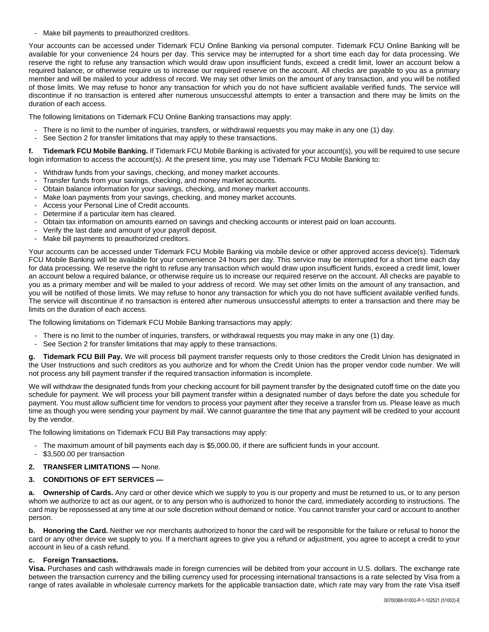Make bill payments to preauthorized creditors.

Your accounts can be accessed under Tidemark FCU Online Banking via personal computer. Tidemark FCU Online Banking will be available for your convenience 24 hours per day. This service may be interrupted for a short time each day for data processing. We reserve the right to refuse any transaction which would draw upon insufficient funds, exceed a credit limit, lower an account below a required balance, or otherwise require us to increase our required reserve on the account. All checks are payable to you as a primary member and will be mailed to your address of record. We may set other limits on the amount of any transaction, and you will be notified of those limits. We may refuse to honor any transaction for which you do not have sufficient available verified funds. The service will discontinue if no transaction is entered after numerous unsuccessful attempts to enter a transaction and there may be limits on the duration of each access.

The following limitations on Tidemark FCU Online Banking transactions may apply:

- There is no limit to the number of inquiries, transfers, or withdrawal requests you may make in any one (1) day.
- See Section 2 for transfer limitations that may apply to these transactions.

**f. Tidemark FCU Mobile Banking.** If Tidemark FCU Mobile Banking is activated for your account(s), you will be required to use secure login information to access the account(s). At the present time, you may use Tidemark FCU Mobile Banking to:

- Withdraw funds from your savings, checking, and money market accounts.
- Transfer funds from your savings, checking, and money market accounts.
- Obtain balance information for your savings, checking, and money market accounts.
- Make loan payments from your savings, checking, and money market accounts.
- Access your Personal Line of Credit accounts.
- Determine if a particular item has cleared.
- Obtain tax information on amounts earned on savings and checking accounts or interest paid on loan accounts.
- Verify the last date and amount of your payroll deposit.
- Make bill payments to preauthorized creditors.

Your accounts can be accessed under Tidemark FCU Mobile Banking via mobile device or other approved access device(s). Tidemark FCU Mobile Banking will be available for your convenience 24 hours per day. This service may be interrupted for a short time each day for data processing. We reserve the right to refuse any transaction which would draw upon insufficient funds, exceed a credit limit, lower an account below a required balance, or otherwise require us to increase our required reserve on the account. All checks are payable to you as a primary member and will be mailed to your address of record. We may set other limits on the amount of any transaction, and you will be notified of those limits. We may refuse to honor any transaction for which you do not have sufficient available verified funds. The service will discontinue if no transaction is entered after numerous unsuccessful attempts to enter a transaction and there may be limits on the duration of each access.

The following limitations on Tidemark FCU Mobile Banking transactions may apply:

- There is no limit to the number of inquiries, transfers, or withdrawal requests you may make in any one (1) day.
- See Section 2 for transfer limitations that may apply to these transactions.

**g. Tidemark FCU Bill Pay.** We will process bill payment transfer requests only to those creditors the Credit Union has designated in the User Instructions and such creditors as you authorize and for whom the Credit Union has the proper vendor code number. We will not process any bill payment transfer if the required transaction information is incomplete.

We will withdraw the designated funds from your checking account for bill payment transfer by the designated cutoff time on the date you schedule for payment. We will process your bill payment transfer within a designated number of days before the date you schedule for payment. You must allow sufficient time for vendors to process your payment after they receive a transfer from us. Please leave as much time as though you were sending your payment by mail. We cannot guarantee the time that any payment will be credited to your account by the vendor.

The following limitations on Tidemark FCU Bill Pay transactions may apply:

- The maximum amount of bill payments each day is \$5,000.00, if there are sufficient funds in your account.
- \$3,500.00 per transaction
- **2. TRANSFER LIMITATIONS —** None.

## **3. CONDITIONS OF EFT SERVICES —**

**a. Ownership of Cards.** Any card or other device which we supply to you is our property and must be returned to us, or to any person whom we authorize to act as our agent, or to any person who is authorized to honor the card, immediately according to instructions. The card may be repossessed at any time at our sole discretion without demand or notice. You cannot transfer your card or account to another person.

**b. Honoring the Card.** Neither we nor merchants authorized to honor the card will be responsible for the failure or refusal to honor the card or any other device we supply to you. If a merchant agrees to give you a refund or adjustment, you agree to accept a credit to your account in lieu of a cash refund.

## **c. Foreign Transactions.**

**Visa.** Purchases and cash withdrawals made in foreign currencies will be debited from your account in U.S. dollars. The exchange rate between the transaction currency and the billing currency used for processing international transactions is a rate selected by Visa from a range of rates available in wholesale currency markets for the applicable transaction date, which rate may vary from the rate Visa itself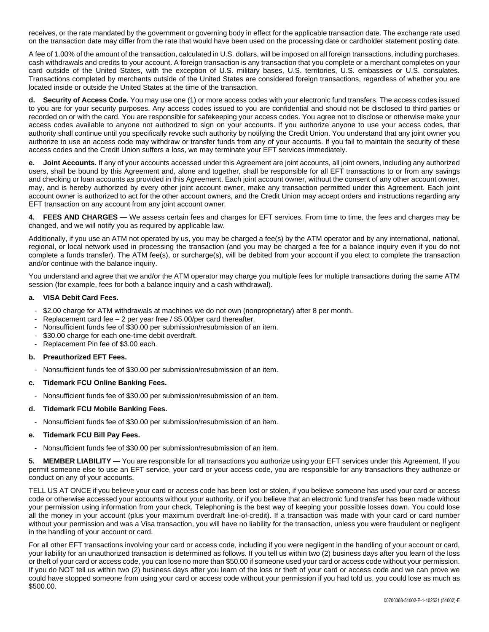receives, or the rate mandated by the government or governing body in effect for the applicable transaction date. The exchange rate used on the transaction date may differ from the rate that would have been used on the processing date or cardholder statement posting date.

A fee of 1.00% of the amount of the transaction, calculated in U.S. dollars, will be imposed on all foreign transactions, including purchases, cash withdrawals and credits to your account. A foreign transaction is any transaction that you complete or a merchant completes on your card outside of the United States, with the exception of U.S. military bases, U.S. territories, U.S. embassies or U.S. consulates. Transactions completed by merchants outside of the United States are considered foreign transactions, regardless of whether you are located inside or outside the United States at the time of the transaction.

**Security of Access Code.** You may use one (1) or more access codes with your electronic fund transfers. The access codes issued to you are for your security purposes. Any access codes issued to you are confidential and should not be disclosed to third parties or recorded on or with the card. You are responsible for safekeeping your access codes. You agree not to disclose or otherwise make your access codes available to anyone not authorized to sign on your accounts. If you authorize anyone to use your access codes, that authority shall continue until you specifically revoke such authority by notifying the Credit Union. You understand that any joint owner you authorize to use an access code may withdraw or transfer funds from any of your accounts. If you fail to maintain the security of these access codes and the Credit Union suffers a loss, we may terminate your EFT services immediately.

**e. Joint Accounts.** If any of your accounts accessed under this Agreement are joint accounts, all joint owners, including any authorized users, shall be bound by this Agreement and, alone and together, shall be responsible for all EFT transactions to or from any savings and checking or loan accounts as provided in this Agreement. Each joint account owner, without the consent of any other account owner, may, and is hereby authorized by every other joint account owner, make any transaction permitted under this Agreement. Each joint account owner is authorized to act for the other account owners, and the Credit Union may accept orders and instructions regarding any EFT transaction on any account from any joint account owner.

**FEES AND CHARGES —** We assess certain fees and charges for EFT services. From time to time, the fees and charges may be changed, and we will notify you as required by applicable law.

Additionally, if you use an ATM not operated by us, you may be charged a fee(s) by the ATM operator and by any international, national, regional, or local network used in processing the transaction (and you may be charged a fee for a balance inquiry even if you do not complete a funds transfer). The ATM fee(s), or surcharge(s), will be debited from your account if you elect to complete the transaction and/or continue with the balance inquiry.

You understand and agree that we and/or the ATM operator may charge you multiple fees for multiple transactions during the same ATM session (for example, fees for both a balance inquiry and a cash withdrawal).

## **a. VISA Debit Card Fees.**

- \$2.00 charge for ATM withdrawals at machines we do not own (nonproprietary) after 8 per month.
- Replacement card fee  $2$  per year free / \$5.00/per card thereafter.
- Nonsufficient funds fee of \$30.00 per submission/resubmission of an item.
- \$30.00 charge for each one-time debit overdraft.
- Replacement Pin fee of \$3.00 each.

## **b. Preauthorized EFT Fees.**

- Nonsufficient funds fee of \$30.00 per submission/resubmission of an item.
- **c. Tidemark FCU Online Banking Fees.**
- Nonsufficient funds fee of \$30.00 per submission/resubmission of an item.
- **d. Tidemark FCU Mobile Banking Fees.**
- Nonsufficient funds fee of \$30.00 per submission/resubmission of an item.

## **e. Tidemark FCU Bill Pay Fees.**

Nonsufficient funds fee of \$30.00 per submission/resubmission of an item.

**5. MEMBER LIABILITY —** You are responsible for all transactions you authorize using your EFT services under this Agreement. If you permit someone else to use an EFT service, your card or your access code, you are responsible for any transactions they authorize or conduct on any of your accounts.

TELL US AT ONCE if you believe your card or access code has been lost or stolen, if you believe someone has used your card or access code or otherwise accessed your accounts without your authority, or if you believe that an electronic fund transfer has been made without your permission using information from your check. Telephoning is the best way of keeping your possible losses down. You could lose all the money in your account (plus your maximum overdraft line-of-credit). If a transaction was made with your card or card number without your permission and was a Visa transaction, you will have no liability for the transaction, unless you were fraudulent or negligent in the handling of your account or card.

For all other EFT transactions involving your card or access code, including if you were negligent in the handling of your account or card, your liability for an unauthorized transaction is determined as follows. If you tell us within two (2) business days after you learn of the loss or theft of your card or access code, you can lose no more than \$50.00 if someone used your card or access code without your permission. If you do NOT tell us within two (2) business days after you learn of the loss or theft of your card or access code and we can prove we could have stopped someone from using your card or access code without your permission if you had told us, you could lose as much as \$500.00.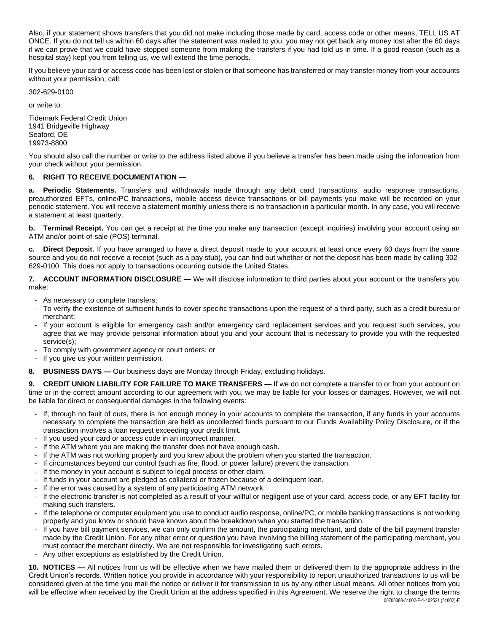Also, if your statement shows transfers that you did not make including those made by card, access code or other means, TELL US AT ONCE. If you do not tell us within 60 days after the statement was mailed to you, you may not get back any money lost after the 60 days if we can prove that we could have stopped someone from making the transfers if you had told us in time. If a good reason (such as a hospital stay) kept you from telling us, we will extend the time periods.

If you believe your card or access code has been lost or stolen or that someone has transferred or may transfer money from your accounts without your permission, call:

302-629-0100

or write to:

Tidemark Federal Credit Union 1941 Bridgeville Highway Seaford, DE 19973-8800

You should also call the number or write to the address listed above if you believe a transfer has been made using the information from your check without your permission.

## **6. RIGHT TO RECEIVE DOCUMENTATION —**

**a. Periodic Statements.** Transfers and withdrawals made through any debit card transactions, audio response transactions, preauthorized EFTs, online/PC transactions, mobile access device transactions or bill payments you make will be recorded on your periodic statement. You will receive a statement monthly unless there is no transaction in a particular month. In any case, you will receive a statement at least quarterly.

**b. Terminal Receipt.** You can get a receipt at the time you make any transaction (except inquiries) involving your account using an ATM and/or point-of-sale (POS) terminal.

**c. Direct Deposit.** If you have arranged to have a direct deposit made to your account at least once every 60 days from the same source and you do not receive a receipt (such as a pay stub), you can find out whether or not the deposit has been made by calling 302- 629-0100. This does not apply to transactions occurring outside the United States.

**7. ACCOUNT INFORMATION DISCLOSURE —** We will disclose information to third parties about your account or the transfers you make:

- As necessary to complete transfers;
- To verify the existence of sufficient funds to cover specific transactions upon the request of a third party, such as a credit bureau or merchant;
- If your account is eligible for emergency cash and/or emergency card replacement services and you request such services, you agree that we may provide personal information about you and your account that is necessary to provide you with the requested service(s);
- To comply with government agency or court orders; or
- If you give us your written permission.
- **8. BUSINESS DAYS —** Our business days are Monday through Friday, excluding holidays.

**9. CREDIT UNION LIABILITY FOR FAILURE TO MAKE TRANSFERS —** If we do not complete a transfer to or from your account on time or in the correct amount according to our agreement with you, we may be liable for your losses or damages. However, we will not be liable for direct or consequential damages in the following events:

- If, through no fault of ours, there is not enough money in your accounts to complete the transaction, if any funds in your accounts necessary to complete the transaction are held as uncollected funds pursuant to our Funds Availability Policy Disclosure, or if the transaction involves a loan request exceeding your credit limit.
- If you used your card or access code in an incorrect manner.
- If the ATM where you are making the transfer does not have enough cash.
- If the ATM was not working properly and you knew about the problem when you started the transaction.
- If circumstances beyond our control (such as fire, flood, or power failure) prevent the transaction.
- If the money in your account is subject to legal process or other claim.
- If funds in your account are pledged as collateral or frozen because of a delinquent loan.
- If the error was caused by a system of any participating ATM network.
- If the electronic transfer is not completed as a result of your willful or negligent use of your card, access code, or any EFT facility for making such transfers.
- If the telephone or computer equipment you use to conduct audio response, online/PC, or mobile banking transactions is not working properly and you know or should have known about the breakdown when you started the transaction.
- If you have bill payment services, we can only confirm the amount, the participating merchant, and date of the bill payment transfer made by the Credit Union. For any other error or question you have involving the billing statement of the participating merchant, you must contact the merchant directly. We are not responsible for investigating such errors.
- Any other exceptions as established by the Credit Union.

**10. NOTICES —** All notices from us will be effective when we have mailed them or delivered them to the appropriate address in the Credit Union's records. Written notice you provide in accordance with your responsibility to report unauthorized transactions to us will be considered given at the time you mail the notice or deliver it for transmission to us by any other usual means. All other notices from you will be effective when received by the Credit Union at the address specified in this Agreement. We reserve the right to change the terms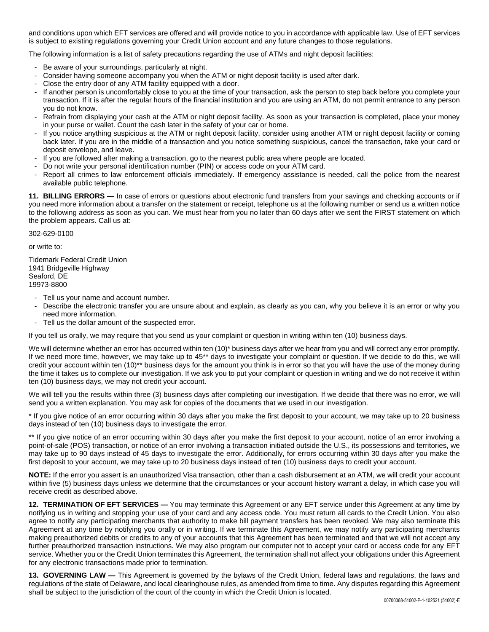and conditions upon which EFT services are offered and will provide notice to you in accordance with applicable law. Use of EFT services is subject to existing regulations governing your Credit Union account and any future changes to those regulations.

The following information is a list of safety precautions regarding the use of ATMs and night deposit facilities:

- Be aware of your surroundings, particularly at night.
- Consider having someone accompany you when the ATM or night deposit facility is used after dark.
- Close the entry door of any ATM facility equipped with a door.
- If another person is uncomfortably close to you at the time of your transaction, ask the person to step back before you complete your transaction. If it is after the regular hours of the financial institution and you are using an ATM, do not permit entrance to any person you do not know.
- Refrain from displaying your cash at the ATM or night deposit facility. As soon as your transaction is completed, place your money in your purse or wallet. Count the cash later in the safety of your car or home.
- If you notice anything suspicious at the ATM or night deposit facility, consider using another ATM or night deposit facility or coming back later. If you are in the middle of a transaction and you notice something suspicious, cancel the transaction, take your card or deposit envelope, and leave.
- If you are followed after making a transaction, go to the nearest public area where people are located.
- Do not write your personal identification number (PIN) or access code on your ATM card.
- Report all crimes to law enforcement officials immediately. If emergency assistance is needed, call the police from the nearest available public telephone.

**11. BILLING ERRORS —** In case of errors or questions about electronic fund transfers from your savings and checking accounts or if you need more information about a transfer on the statement or receipt, telephone us at the following number or send us a written notice to the following address as soon as you can. We must hear from you no later than 60 days after we sent the FIRST statement on which the problem appears. Call us at:

302-629-0100

or write to:

Tidemark Federal Credit Union 1941 Bridgeville Highway Seaford, DE 19973-8800

- Tell us your name and account number.
- Describe the electronic transfer you are unsure about and explain, as clearly as you can, why you believe it is an error or why you need more information.
- Tell us the dollar amount of the suspected error.

If you tell us orally, we may require that you send us your complaint or question in writing within ten (10) business days.

We will determine whether an error has occurred within ten (10)\* business days after we hear from you and will correct any error promptly. If we need more time, however, we may take up to 45\*\* days to investigate your complaint or question. If we decide to do this, we will credit your account within ten (10)\*\* business days for the amount you think is in error so that you will have the use of the money during the time it takes us to complete our investigation. If we ask you to put your complaint or question in writing and we do not receive it within ten (10) business days, we may not credit your account.

We will tell you the results within three (3) business days after completing our investigation. If we decide that there was no error, we will send you a written explanation. You may ask for copies of the documents that we used in our investigation.

\* If you give notice of an error occurring within 30 days after you make the first deposit to your account, we may take up to 20 business days instead of ten (10) business days to investigate the error.

\*\* If you give notice of an error occurring within 30 days after you make the first deposit to your account, notice of an error involving a point-of-sale (POS) transaction, or notice of an error involving a transaction initiated outside the U.S., its possessions and territories, we may take up to 90 days instead of 45 days to investigate the error. Additionally, for errors occurring within 30 days after you make the first deposit to your account, we may take up to 20 business days instead of ten (10) business days to credit your account.

**NOTE:** If the error you assert is an unauthorized Visa transaction, other than a cash disbursement at an ATM, we will credit your account within five (5) business days unless we determine that the circumstances or your account history warrant a delay, in which case you will receive credit as described above.

**12. TERMINATION OF EFT SERVICES —** You may terminate this Agreement or any EFT service under this Agreement at any time by notifying us in writing and stopping your use of your card and any access code. You must return all cards to the Credit Union. You also agree to notify any participating merchants that authority to make bill payment transfers has been revoked. We may also terminate this Agreement at any time by notifying you orally or in writing. If we terminate this Agreement, we may notify any participating merchants making preauthorized debits or credits to any of your accounts that this Agreement has been terminated and that we will not accept any further preauthorized transaction instructions. We may also program our computer not to accept your card or access code for any EFT service. Whether you or the Credit Union terminates this Agreement, the termination shall not affect your obligations under this Agreement for any electronic transactions made prior to termination.

**13. GOVERNING LAW —** This Agreement is governed by the bylaws of the Credit Union, federal laws and regulations, the laws and regulations of the state of Delaware, and local clearinghouse rules, as amended from time to time. Any disputes regarding this Agreement shall be subject to the jurisdiction of the court of the county in which the Credit Union is located.